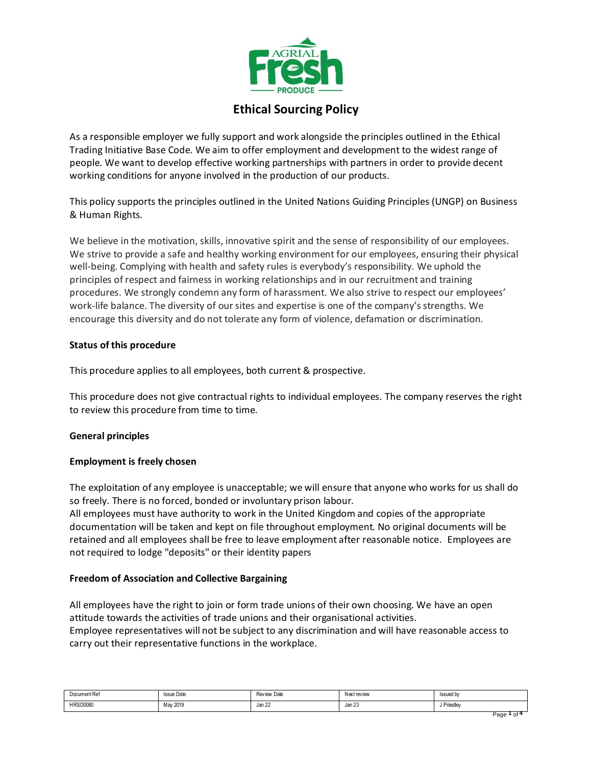

# **Ethical Sourcing Policy**

As a responsible employer we fully support and work alongside the principles outlined in the Ethical Trading Initiative Base Code. We aim to offer employment and development to the widest range of people. We want to develop effective working partnerships with partners in order to provide decent working conditions for anyone involved in the production of our products.

This policy supports the principles outlined in the United Nations Guiding Principles (UNGP) on Business & Human Rights.

We believe in the motivation, skills, innovative spirit and the sense of responsibility of our employees. We strive to provide a safe and healthy working environment for our employees, ensuring their physical well-being. Complying with health and safety rules is everybody's responsibility. We uphold the principles of respect and fairness in working relationships and in our recruitment and training procedures. We strongly condemn any form of harassment. We also strive to respect our employees' work-life balance. The diversity of our sites and expertise is one of the company's strengths. We encourage this diversity and do not tolerate any form of violence, defamation or discrimination.

# **Status of this procedure**

This procedure applies to all employees, both current & prospective.

This procedure does not give contractual rights to individual employees. The company reserves the right to review this procedure from time to time.

# **General principles**

## **Employment is freely chosen**

The exploitation of any employee is unacceptable; we will ensure that anyone who works for us shall do so freely. There is no forced, bonded or involuntary prison labour.

All employees must have authority to work in the United Kingdom and copies of the appropriate documentation will be taken and kept on file throughout employment. No original documents will be retained and all employees shall be free to leave employment after reasonable notice. Employees are not required to lodge "deposits" or their identity papers

## **Freedom of Association and Collective Bargaining**

All employees have the right to join or form trade unions of their own choosing. We have an open attitude towards the activities of trade unions and their organisational activities. Employee representatives will not be subject to any discrimination and will have reasonable access to carry out their representative functions in the workplace.

| $\sim$ $\sim$<br>Document Ref<br>. | <b>Issue Date</b><br>. | Review Date | <b>Next review</b><br>. | Issued by<br>. |
|------------------------------------|------------------------|-------------|-------------------------|----------------|
| <b>HRSD0080</b>                    | May 2019               | Jan 22      | Jan 23                  | Priestlev      |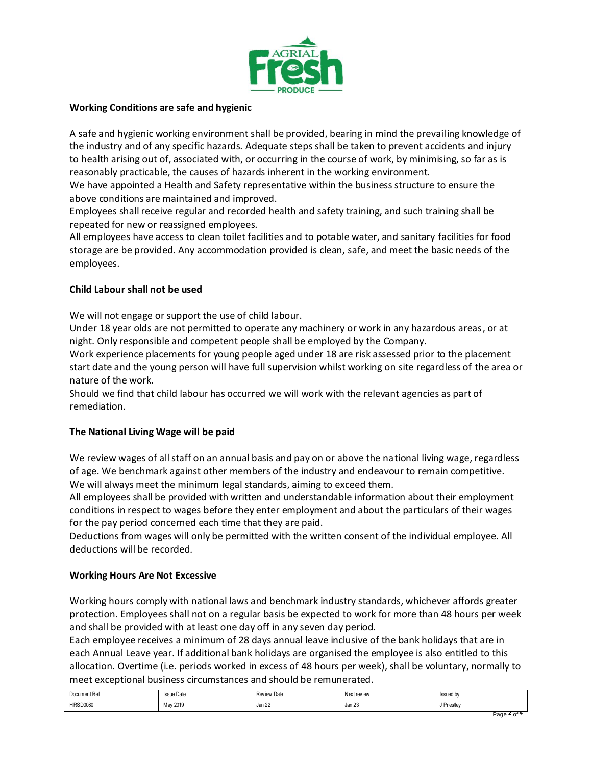

## **Working Conditions are safe and hygienic**

A safe and hygienic working environment shall be provided, bearing in mind the prevailing knowledge of the industry and of any specific hazards. Adequate steps shall be taken to prevent accidents and injury to health arising out of, associated with, or occurring in the course of work, by minimising, so far as is reasonably practicable, the causes of hazards inherent in the working environment.

We have appointed a Health and Safety representative within the business structure to ensure the above conditions are maintained and improved.

Employees shall receive regular and recorded health and safety training, and such training shall be repeated for new or reassigned employees.

All employees have access to clean toilet facilities and to potable water, and sanitary facilities for food storage are be provided. Any accommodation provided is clean, safe, and meet the basic needs of the employees.

## **Child Labour shall not be used**

We will not engage or support the use of child labour.

Under 18 year olds are not permitted to operate any machinery or work in any hazardous areas, or at night. Only responsible and competent people shall be employed by the Company.

Work experience placements for young people aged under 18 are risk assessed prior to the placement start date and the young person will have full supervision whilst working on site regardless of the area or nature of the work.

Should we find that child labour has occurred we will work with the relevant agencies as part of remediation.

# **The National Living Wage will be paid**

We review wages of all staff on an annual basis and pay on or above the national living wage, regardless of age. We benchmark against other members of the industry and endeavour to remain competitive. We will always meet the minimum legal standards, aiming to exceed them.

All employees shall be provided with written and understandable information about their employment conditions in respect to wages before they enter employment and about the particulars of their wages for the pay period concerned each time that they are paid.

Deductions from wages will only be permitted with the written consent of the individual employee. All deductions will be recorded.

## **Working Hours Are Not Excessive**

Working hours comply with national laws and benchmark industry standards, whichever affords greater protection. Employees shall not on a regular basis be expected to work for more than 48 hours per week and shall be provided with at least one day off in any seven day period.

Each employee receives a minimum of 28 days annual leave inclusive of the bank holidays that are in each Annual Leave year. If additional bank holidays are organised the employee is also entitled to this allocation. Overtime (i.e. periods worked in excess of 48 hours per week), shall be voluntary, normally to meet exceptional business circumstances and should be remunerated.

| Document Ref<br>. | $\sim$<br><b>Issue Date</b><br>. | <b>Review Date</b> | Nextreview<br>. | Issued<br>.                     |
|-------------------|----------------------------------|--------------------|-----------------|---------------------------------|
| <b>HRSD0080</b>   | May 2019                         | $\sim$<br>Jan 22   | Jan 23          | Database of the State<br>טטטטוו |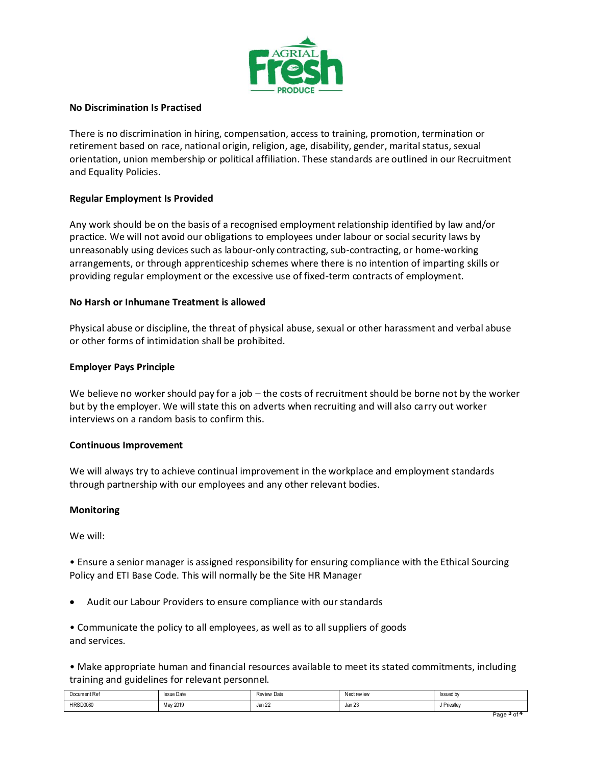

## **No Discrimination Is Practised**

There is no discrimination in hiring, compensation, access to training, promotion, termination or retirement based on race, national origin, religion, age, disability, gender, marital status, sexual orientation, union membership or political affiliation. These standards are outlined in our Recruitment and Equality Policies.

# **Regular Employment Is Provided**

Any work should be on the basis of a recognised employment relationship identified by law and/or practice. We will not avoid our obligations to employees under labour or social security laws by unreasonably using devices such as labour-only contracting, sub-contracting, or home-working arrangements, or through apprenticeship schemes where there is no intention of imparting skills or providing regular employment or the excessive use of fixed-term contracts of employment.

## **No Harsh or Inhumane Treatment is allowed**

Physical abuse or discipline, the threat of physical abuse, sexual or other harassment and verbal abuse or other forms of intimidation shall be prohibited.

# **Employer Pays Principle**

We believe no worker should pay for a job – the costs of recruitment should be borne not by the worker but by the employer. We will state this on adverts when recruiting and will also carry out worker interviews on a random basis to confirm this.

## **Continuous Improvement**

We will always try to achieve continual improvement in the workplace and employment standards through partnership with our employees and any other relevant bodies.

## **Monitoring**

We will:

• Ensure a senior manager is assigned responsibility for ensuring compliance with the Ethical Sourcing Policy and ETI Base Code. This will normally be the Site HR Manager

• Audit our Labour Providers to ensure compliance with our standards

• Communicate the policy to all employees, as well as to all suppliers of goods and services.

• Make appropriate human and financial resources available to meet its stated commitments, including training and guidelines for relevant personnel.

| Document Ref    | <b>Issue Date</b> | <b>Review Date</b> | <b>Next review</b> | Issued b  |
|-----------------|-------------------|--------------------|--------------------|-----------|
| .               | .                 |                    | .                  | .         |
| <b>HRSD0080</b> | May 2019          | Jan 22             | Jan 23             | Priestlev |